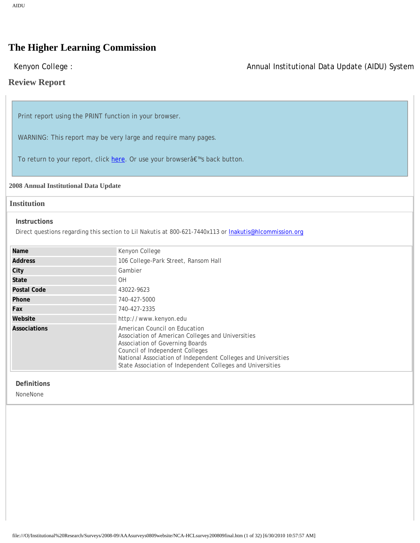# **The Higher Learning Commission**

# Kenyon College : Annual Institutional Data Update (AIDU) System

# **Review Report**

Print report using the PRINT function in your browser.

WARNING: This report may be very large and require many pages.

To return to your report, click [here](http://aidu.ncahlc.org/index.a4d?fuseaction=nfi-review.main). Or use your browserâ€™s back button.

## **2008 Annual Institutional Data Update**

# **Institution**

#### **Instructions**

Direct questions regarding this section to Lil Nakutis at 800-621-7440x113 or [lnakutis@hlcommission.org](mailto:lnakutis@hlcommission.org)

| Name           | Kenyon College                                                                                                                                                                                                                                                                          |
|----------------|-----------------------------------------------------------------------------------------------------------------------------------------------------------------------------------------------------------------------------------------------------------------------------------------|
| <b>Address</b> | 106 College-Park Street, Ransom Hall                                                                                                                                                                                                                                                    |
| City           | Gambier                                                                                                                                                                                                                                                                                 |
| <b>State</b>   | <b>OH</b>                                                                                                                                                                                                                                                                               |
| Postal Code    | 43022-9623                                                                                                                                                                                                                                                                              |
| Phone          | 740-427-5000                                                                                                                                                                                                                                                                            |
| Fax            | 740-427-2335                                                                                                                                                                                                                                                                            |
| Website        | http://www.kenyon.edu                                                                                                                                                                                                                                                                   |
| Associations   | American Council on Education<br>Association of American Colleges and Universities<br>Association of Governing Boards<br>Council of Independent Colleges<br>National Association of Independent Colleges and Universities<br>State Association of Independent Colleges and Universities |

## **Definitions**

NoneNone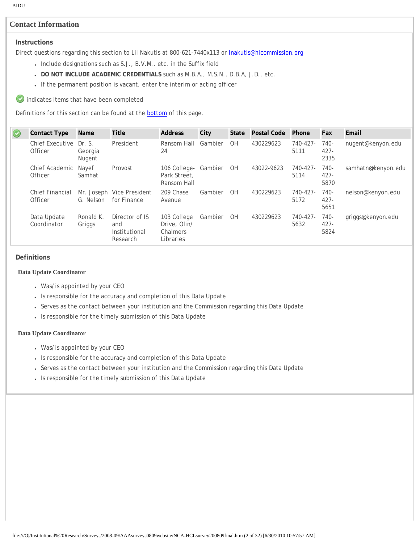# **Contact Information**

# **Instructions**

Direct questions regarding this section to Lil Nakutis at 800-621-7440x113 or **Inakutis@hlcommission.org** 

- Include designations such as S.J., B.V.M., etc. in the Suffix field
- **DO NOT INCLUDE ACADEMIC CREDENTIALS** such as M.B.A., M.S.N., D.B.A, J.D., etc.
- If the permanent position is vacant, enter the interim or acting officer

 $\bullet$  indicates items that have been completed

Definitions for this section can be found at the **bottom** of this page.

| O | <b>Contact Type</b>               | Name                | <b>Title</b>                                       | <b>Address</b>                                       | City    | State     | Postal Code | Phone                 | Fax                       | Email              |
|---|-----------------------------------|---------------------|----------------------------------------------------|------------------------------------------------------|---------|-----------|-------------|-----------------------|---------------------------|--------------------|
|   | Chief Executive Dr. S.<br>Officer | Georgia<br>Nugent   | President                                          | Ransom Hall<br>24                                    | Gambier | <b>OH</b> | 430229623   | 740-427-<br>5111      | $740-$<br>$427 -$<br>2335 | nugent@kenyon.edu  |
|   | Chief Academic Nayef<br>Officer   | Samhat              | Provost                                            | 106 College-<br>Park Street.<br>Ransom Hall          | Gambier | OH        | 43022-9623  | $740 - 427 -$<br>5114 | 740-<br>$427 -$<br>5870   | samhatn@kenyon.edu |
|   | <b>Chief Financial</b><br>Officer | G. Nelson           | Mr. Joseph Vice President<br>for Finance           | 209 Chase<br>Avenue                                  | Gambier | <b>OH</b> | 430229623   | $740 - 427 -$<br>5172 | $740-$<br>$427 -$<br>5651 | nelson@kenyon.edu  |
|   | Data Update<br>Coordinator        | Ronald K.<br>Griggs | Director of IS<br>and<br>Institutional<br>Research | 103 College<br>Drive, Olin/<br>Chalmers<br>Libraries | Gambier | <b>OH</b> | 430229623   | $740 - 427 -$<br>5632 | 740-<br>$427 -$<br>5824   | griggs@kenyon.edu  |

#### **Definitions**

#### **Data Update Coordinator**

- Was/is appointed by your CEO
- Is responsible for the accuracy and completion of this Data Update
- Serves as the contact between your institution and the Commission regarding this Data Update
- Is responsible for the timely submission of this Data Update

#### **Data Update Coordinator**

- Was/is appointed by your CEO
- Is responsible for the accuracy and completion of this Data Update
- Serves as the contact between your institution and the Commission regarding this Data Update
- Is responsible for the timely submission of this Data Update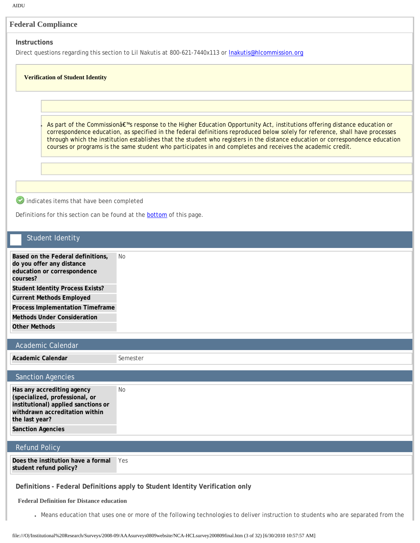# **Instructions**

Direct questions regarding this section to Lil Nakutis at 800-621-7440x113 or **Inakutis@hlcommission.org** 

## **Verification of Student Identity**

As part of the Commissionâ€<sup>™</sup>s response to the Higher Education Opportunity Act, institutions offering distance education or correspondence education, as specified in the federal definitions reproduced below solely for reference, shall have processes through which the institution establishes that the student who registers in the distance education or correspondence education courses or programs is the same student who participates in and completes and receives the academic credit.

indicates items that have been completed

Definitions for this section can be found at the **bottom** of this page.

# Student Identity

**Based on the Federal definitions, do you offer any distance education or correspondence courses?** No **Student Identity Process Exists? Current Methods Employed Process Implementation Timeframe Methods Under Consideration**

**Other Methods**

# Academic Calendar

**Academic Calendar** Semester

# Sanction Agencies

**Has any accrediting agency (specialized, professional, or institutional) applied sanctions or withdrawn accreditation within the last year?** No **Sanction Agencies**

# Refund Policy

**Does the institution have a formal student refund policy?** Yes

**Definitions - Federal Definitions apply to Student Identity Verification only**

# **Federal Definition for Distance education**

• Means education that uses one or more of the following technologies to deliver instruction to students who are separated from the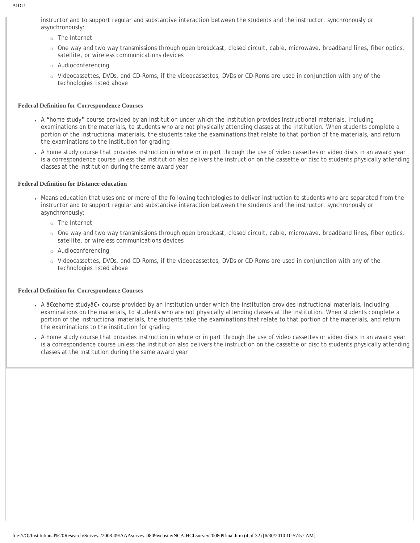instructor and to support regular and substantive interaction between the students and the instructor, synchronously or asynchronously:

- ❍ The Internet
- ❍ One way and two way transmissions through open broadcast, closed circuit, cable, microwave, broadband lines, fiber optics, satellite, or wireless communications devices
- ❍ Audioconferencing
- ❍ Videocassettes, DVDs, and CD-Roms, if the videocassettes, DVDs or CD-Roms are used in conjunction with any of the technologies listed above

#### **Federal Definition for Correspondence Courses**

- A "home study" course provided by an institution under which the institution provides instructional materials, including examinations on the materials, to students who are not physically attending classes at the institution. When students complete a portion of the instructional materials, the students take the examinations that relate to that portion of the materials, and return the examinations to the institution for grading
- A home study course that provides instruction in whole or in part through the use of video cassettes or video discs in an award year is a correspondence course unless the institution also delivers the instruction on the cassette or disc to students physically attending classes at the institution during the same award year

#### **Federal Definition for Distance education**

- Means education that uses one or more of the following technologies to deliver instruction to students who are separated from the instructor and to support regular and substantive interaction between the students and the instructor, synchronously or asynchronously:
	- ❍ The Internet
	- ❍ One way and two way transmissions through open broadcast, closed circuit, cable, microwave, broadband lines, fiber optics, satellite, or wireless communications devices
	- ❍ Audioconferencing
	- ❍ Videocassettes, DVDs, and CD-Roms, if the videocassettes, DVDs or CD-Roms are used in conjunction with any of the technologies listed above

#### **Federal Definition for Correspondence Courses**

- A "home study― course provided by an institution under which the institution provides instructional materials, including examinations on the materials, to students who are not physically attending classes at the institution. When students complete a portion of the instructional materials, the students take the examinations that relate to that portion of the materials, and return the examinations to the institution for grading
- A home study course that provides instruction in whole or in part through the use of video cassettes or video discs in an award year is a correspondence course unless the institution also delivers the instruction on the cassette or disc to students physically attending classes at the institution during the same award year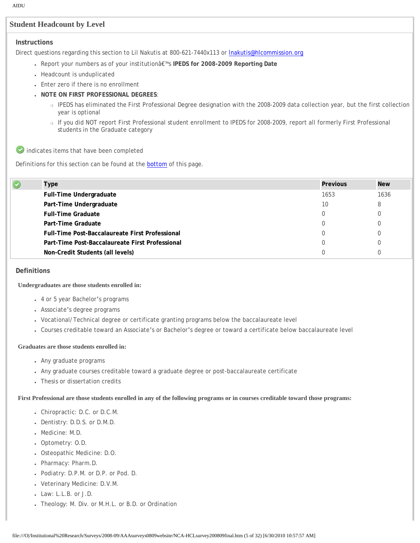# **Student Headcount by Level**

## **Instructions**

Direct questions regarding this section to Lil Nakutis at 800-621-7440x113 or **Inakutis@hlcommission.org** 

- Report your numbers as of your institutionâ€™s **IPEDS for 2008-2009 Reporting Date**
- Headcount is unduplicated
- Enter zero if there is no enrollment
- **NOTE ON FIRST PROFESSIONAL DEGREES**:
	- ❍ IPEDS has eliminated the First Professional Degree designation with the 2008-2009 data collection year, but the first collection year is optional
	- o If you did NOT report First Professional student enrollment to IPEDS for 2008-2009, report all formerly First Professional students in the Graduate category

 $\bullet$  indicates items that have been completed

Definitions for this section can be found at the **bottom** of this page.

| C | <b>Type</b>                                            | <b>Previous</b> | <b>New</b> |
|---|--------------------------------------------------------|-----------------|------------|
|   | Full-Time Undergraduate                                | 1653            | 1636       |
|   | Part-Time Undergraduate                                | 10              |            |
|   | <b>Full-Time Graduate</b>                              | 0               |            |
|   | Part-Time Graduate                                     | 0               |            |
|   | <b>Full-Time Post-Baccalaureate First Professional</b> |                 |            |
|   | Part-Time Post-Baccalaureate First Professional        | 0               |            |
|   | Non-Credit Students (all levels)                       |                 |            |

#### **Definitions**

#### **Undergraduates are those students enrolled in:**

- 4 or 5 year Bachelor's programs
- Associate's degree programs
- Vocational/Technical degree or certificate granting programs below the baccalaureate level
- Courses creditable toward an Associate's or Bachelor's degree or toward a certificate below baccalaureate level

#### **Graduates are those students enrolled in:**

- Any graduate programs
- Any graduate courses creditable toward a graduate degree or post-baccalaureate certificate
- Thesis or dissertation credits

**First Professional are those students enrolled in any of the following programs or in courses creditable toward those programs:**

- Chiropractic: D.C. or D.C.M.
- Dentistry: D.D.S. or D.M.D.
- Medicine: M.D.
- Optometry: O.D.
- Osteopathic Medicine: D.O.
- Pharmacy: Pharm.D.
- Podiatry: D.P.M. or D.P. or Pod. D.
- Veterinary Medicine: D.V.M.
- Law: L.L.B. or J.D.
- Theology: M. Div. or M.H.L. or B.D. or Ordination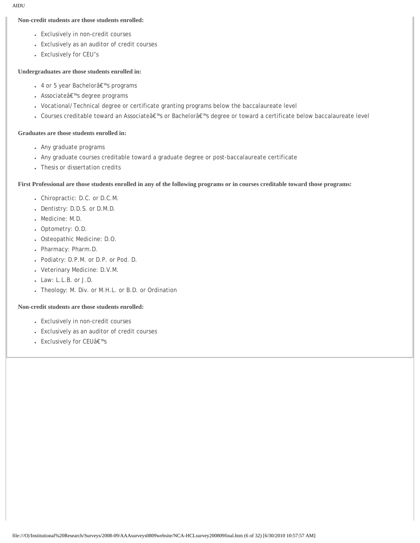## **Non-credit students are those students enrolled:**

- Exclusively in non-credit courses
- Exclusively as an auditor of credit courses
- Exclusively for CEU's

## **Undergraduates are those students enrolled in:**

- 4 or 5 year Bachelor's programs
- Associateâ€<sup>™</sup>s degree programs
- Vocational/Technical degree or certificate granting programs below the baccalaureate level
- Courses creditable toward an Associate's or Bachelor's degree or toward a certificate below baccalaureate level

## **Graduates are those students enrolled in:**

- Any graduate programs
- Any graduate courses creditable toward a graduate degree or post-baccalaureate certificate
- Thesis or dissertation credits

## **First Professional are those students enrolled in any of the following programs or in courses creditable toward those programs:**

- Chiropractic: D.C. or D.C.M.
- Dentistry: D.D.S. or D.M.D.
- Medicine: M.D.
- Optometry: O.D.
- Osteopathic Medicine: D.O.
- Pharmacy: Pharm.D.
- Podiatry: D.P.M. or D.P. or Pod. D.
- Veterinary Medicine: D.V.M.
- Law: L.L.B. or J.D.
- Theology: M. Div. or M.H.L. or B.D. or Ordination

## **Non-credit students are those students enrolled:**

- Exclusively in non-credit courses
- Exclusively as an auditor of credit courses
- Exclusively for CEU's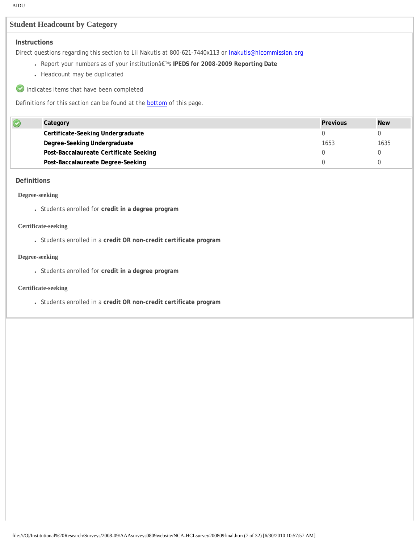# **Student Headcount by Category**

# **Instructions**

Direct questions regarding this section to Lil Nakutis at 800-621-7440x113 or **Inakutis@hlcommission.org** 

- Report your numbers as of your institutionâ€™s **IPEDS for 2008-2009 Reporting Date**
- Headcount may be duplicated
- indicates items that have been completed

Definitions for this section can be found at the **bottom** of this page.

| Category                               | Previous | <b>New</b> |
|----------------------------------------|----------|------------|
| Certificate-Seeking Undergraduate      |          |            |
| Degree-Seeking Undergraduate           | 1653     | 1635       |
| Post-Baccalaureate Certificate Seeking |          |            |
| Post-Baccalaureate Degree-Seeking      |          |            |

## **Definitions**

## **Degree-seeking**

● Students enrolled for **credit in a degree program**

#### **Certificate-seeking**

● Students enrolled in a **credit OR non-credit certificate program**

#### **Degree-seeking**

● Students enrolled for **credit in a degree program**

#### **Certificate-seeking**

● Students enrolled in a **credit OR non-credit certificate program**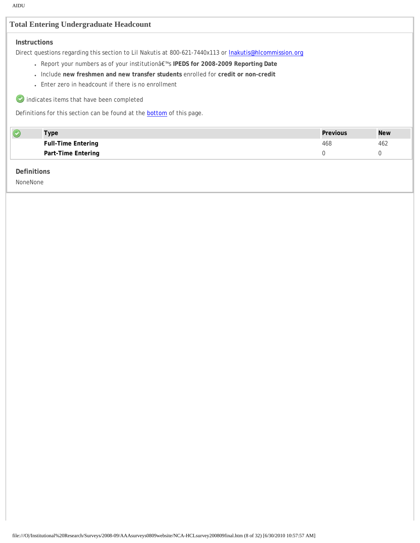# **Total Entering Undergraduate Headcount**

# **Instructions**

Direct questions regarding this section to Lil Nakutis at 800-621-7440x113 or **Inakutis@hlcommission.org** 

- Report your numbers as of your institutionâ€™s **IPEDS for 2008-2009 Reporting Date**
- Include **new freshmen and new transfer students** enrolled for **credit or non-credit**
- Enter zero in headcount if there is no enrollment

indicates items that have been completed

Definitions for this section can be found at the [bottom](javascript:scroll_flash()) of this page.

| Type                      | Previous | <b>New</b> |
|---------------------------|----------|------------|
| <b>Full-Time Entering</b> | 468      | 462        |
| Part-Time Entering        |          |            |

## **Definitions**

NoneNone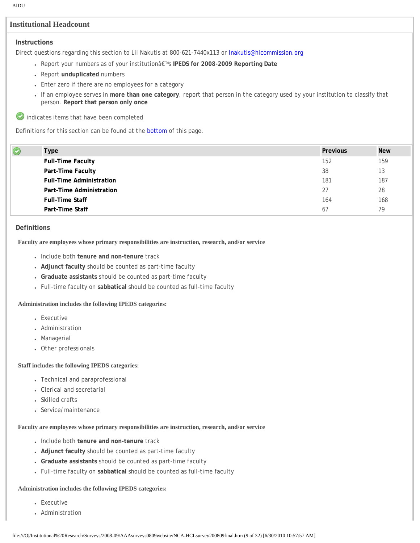# **Institutional Headcount**

## **Instructions**

Direct questions regarding this section to Lil Nakutis at 800-621-7440x113 or **Inakutis@hlcommission.org** 

- Report your numbers as of your institutionâ€™s **IPEDS for 2008-2009 Reporting Date**
- Report **unduplicated** numbers
- Enter zero if there are no employees for a category
- If an employee serves in **more than one category**, report that person in the category used by your institution to classify that person. **Report that person only once**

indicates items that have been completed

Definitions for this section can be found at the **bottom** of this page.

| ৩ | <b>Type</b>                     | <b>Previous</b> | <b>New</b> |
|---|---------------------------------|-----------------|------------|
|   | <b>Full-Time Faculty</b>        | 152             | 159        |
|   | Part-Time Faculty               | 38              | 13         |
|   | <b>Full-Time Administration</b> | 181             | 187        |
|   | Part-Time Administration        | 27              | 28         |
|   | <b>Full-Time Staff</b>          | 164             | 168        |
|   | Part-Time Staff                 | 67              | 79         |

## **Definitions**

#### **Faculty are employees whose primary responsibilities are instruction, research, and/or service**

- Include both **tenure and non-tenure** track
- **Adjunct faculty** should be counted as part-time faculty
- **Graduate assistants** should be counted as part-time faculty
- Full-time faculty on **sabbatical** should be counted as full-time faculty

#### **Administration includes the following IPEDS categories:**

- Executive
- Administration
- Managerial
- Other professionals

#### **Staff includes the following IPEDS categories:**

- Technical and paraprofessional
- Clerical and secretarial
- Skilled crafts
- Service/maintenance

#### **Faculty are employees whose primary responsibilities are instruction, research, and/or service**

- Include both **tenure and non-tenure** track
- **Adjunct faculty** should be counted as part-time faculty
- **Graduate assistants** should be counted as part-time faculty
- Full-time faculty on **sabbatical** should be counted as full-time faculty

#### **Administration includes the following IPEDS categories:**

- Executive
- Administration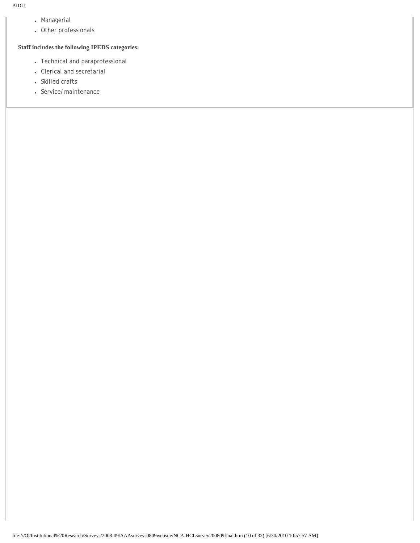- Managerial
- Other professionals

# **Staff includes the following IPEDS categories:**

- Technical and paraprofessional
- Clerical and secretarial
- Skilled crafts
- Service/maintenance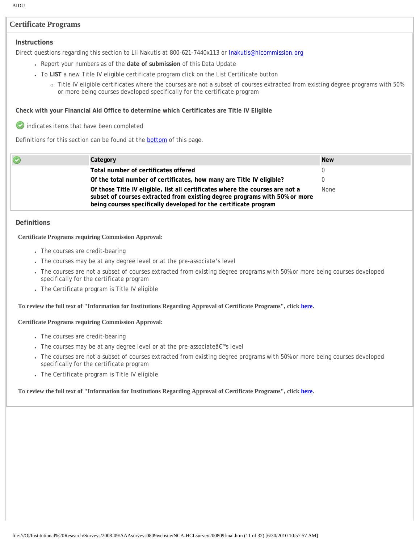# **Certificate Programs**

## **Instructions**

Direct questions regarding this section to Lil Nakutis at 800-621-7440x113 or **Inakutis@hlcommission.org** 

- Report your numbers as of the **date of submission** of this Data Update
- To **LIST** a new Title IV eligible certificate program click on the List Certificate button
	- ❍ Title IV eligible certificates where the courses are not a subset of courses extracted from existing degree programs with 50% or more being courses developed specifically for the certificate program

#### **Check with your Financial Aid Office to determine which Certificates are Title IV Eligible**

indicates items that have been completed

Definitions for this section can be found at the **bottom** of this page.

| O | Category                                                                                                                                                                                                                        | <b>New</b> |
|---|---------------------------------------------------------------------------------------------------------------------------------------------------------------------------------------------------------------------------------|------------|
|   | Total number of certificates offered                                                                                                                                                                                            |            |
|   | Of the total number of certificates, how many are Title IV eligible?                                                                                                                                                            |            |
|   | Of those Title IV eligible, list all certificates where the courses are not a<br>subset of courses extracted from existing degree programs with 50% or more<br>being courses specifically developed for the certificate program | None       |
|   |                                                                                                                                                                                                                                 |            |

## **Definitions**

#### **Certificate Programs requiring Commission Approval:**

- The courses are credit-bearing
- The courses may be at any degree level or at the pre-associate's level
- The courses are not a subset of courses extracted from existing degree programs with 50% or more being courses developed specifically for the certificate program
- The Certificate program is Title IV eligible

### **To review the full text of "Information for Institutions Regarding Approval of Certificate Programs", click [here.](http://www.ncahlc.org/download/ApprovalOfCertificatePrograms.pdf)**

#### **Certificate Programs requiring Commission Approval:**

- The courses are credit-bearing
- The courses may be at any degree level or at the pre-associate's level
- The courses are not a subset of courses extracted from existing degree programs with 50% or more being courses developed specifically for the certificate program
- The Certificate program is Title IV eligible

# **To review the full text of "Information for Institutions Regarding Approval of Certificate Programs", click [here.](http://www.ncahlc.org/download/ApprovalOfCertificatePrograms.pdf)**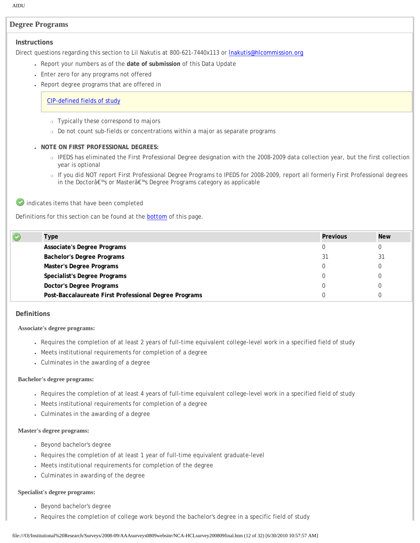# **Degree Programs**

#### **Instructions**

Direct questions regarding this section to Lil Nakutis at 800-621-7440x113 or **Inakutis@hlcommission.org** 

- Report your numbers as of the **date of submission** of this Data Update
- Enter zero for any programs not offered
- Report degree programs that are offered in

## [CIP-defined fields of study](http://nces.ed.gov/pubs2002/cip2000/)

- ❍ Typically these correspond to majors
- o Do not count sub-fields or concentrations within a major as separate programs

## ● **NOTE ON FIRST PROFESSIONAL DEGREES:**

- o IPEDS has eliminated the First Professional Degree designation with the 2008-2009 data collection year, but the first collection year is optional
- ❍ If you did NOT report First Professional Degree Programs to IPEDS for 2008-2009, report all formerly First Professional degrees in the Doctorâ€™s or Masterâ€™s Degree Programs category as applicable

indicates items that have been completed

Definitions for this section can be found at the [bottom](javascript:scroll_flash()) of this page.

| <b>Type</b>                                           | <b>Previous</b> | <b>New</b> |
|-------------------------------------------------------|-----------------|------------|
| Associate's Degree Programs                           |                 |            |
| <b>Bachelor's Degree Programs</b>                     | 31              |            |
| Master's Degree Programs                              |                 |            |
| Specialist's Degree Programs                          |                 |            |
| Doctor's Degree Programs                              |                 |            |
| Post-Baccalaureate First Professional Degree Programs |                 |            |

#### **Definitions**

#### **Associate's degree programs:**

- Requires the completion of at least 2 years of full-time equivalent college-level work in a specified field of study
- Meets institutional requirements for completion of a degree
- Culminates in the awarding of a degree

#### **Bachelor's degree programs:**

- Requires the completion of at least 4 years of full-time equivalent college-level work in a specified field of study
- Meets institutional requirements for completion of a degree
- Culminates in the awarding of a degree

#### **Master's degree programs:**

- Beyond bachelor's degree
- Requires the completion of at least 1 year of full-time equivalent graduate-level
- Meets institutional requirements for completion of the degree
- Culminates in awarding of the degree

#### **Specialist's degree programs:**

- Beyond bachelor's degree
- Requires the completion of college work beyond the bachelor's degree in a specific field of study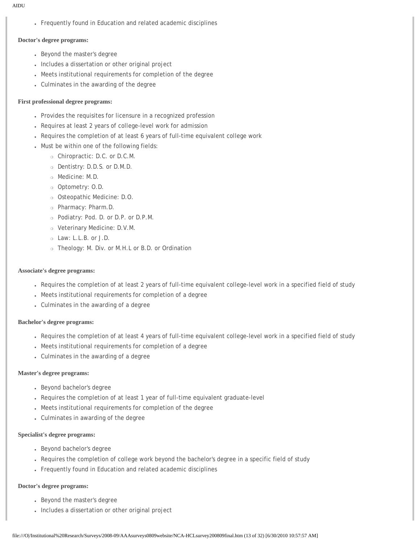• Frequently found in Education and related academic disciplines

# **Doctor's degree programs:**

- Beyond the master's degree
- Includes a dissertation or other original project
- Meets institutional requirements for completion of the degree
- Culminates in the awarding of the degree

# **First professional degree programs:**

- Provides the requisites for licensure in a recognized profession
- Requires at least 2 years of college-level work for admission
- Requires the completion of at least 6 years of full-time equivalent college work
- Must be within one of the following fields:
	- ❍ Chiropractic: D.C. or D.C.M.
	- ❍ Dentistry: D.D.S. or D.M.D.
	- ❍ Medicine: M.D.
	- ❍ Optometry: O.D.
	- ❍ Osteopathic Medicine: D.O.
	- ❍ Pharmacy: Pharm.D.
	- ❍ Podiatry: Pod. D. or D.P. or D.P.M.
	- ❍ Veterinary Medicine: D.V.M.
	- ❍ Law: L.L.B. or J.D.
	- ❍ Theology: M. Div. or M.H.L or B.D. or Ordination

# **Associate's degree programs:**

- Requires the completion of at least 2 years of full-time equivalent college-level work in a specified field of study
- Meets institutional requirements for completion of a degree
- Culminates in the awarding of a degree

# **Bachelor's degree programs:**

- Requires the completion of at least 4 years of full-time equivalent college-level work in a specified field of study
- Meets institutional requirements for completion of a degree
- Culminates in the awarding of a degree

# **Master's degree programs:**

- Beyond bachelor's degree
- Requires the completion of at least 1 year of full-time equivalent graduate-level
- Meets institutional requirements for completion of the degree
- Culminates in awarding of the degree

# **Specialist's degree programs:**

- Beyond bachelor's degree
- Requires the completion of college work beyond the bachelor's degree in a specific field of study
- Frequently found in Education and related academic disciplines

# **Doctor's degree programs:**

- Beyond the master's degree
- Includes a dissertation or other original project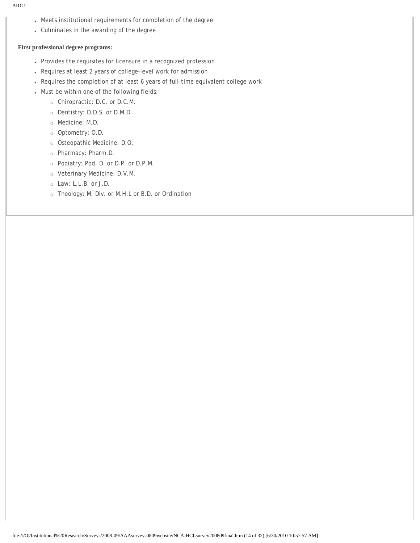- Meets institutional requirements for completion of the degree
- Culminates in the awarding of the degree

#### **First professional degree programs:**

- Provides the requisites for licensure in a recognized profession
- Requires at least 2 years of college-level work for admission
- Requires the completion of at least 6 years of full-time equivalent college work
- Must be within one of the following fields:
	- ❍ Chiropractic: D.C. or D.C.M.
	- ❍ Dentistry: D.D.S. or D.M.D.
	- ❍ Medicine: M.D.
	- ❍ Optometry: O.D.
	- ❍ Osteopathic Medicine: D.O.
	- ❍ Pharmacy: Pharm.D.
	- ❍ Podiatry: Pod. D. or D.P. or D.P.M.
	- ❍ Veterinary Medicine: D.V.M.
	- ❍ Law: L.L.B. or J.D.
	- ❍ Theology: M. Div. or M.H.L or B.D. or Ordination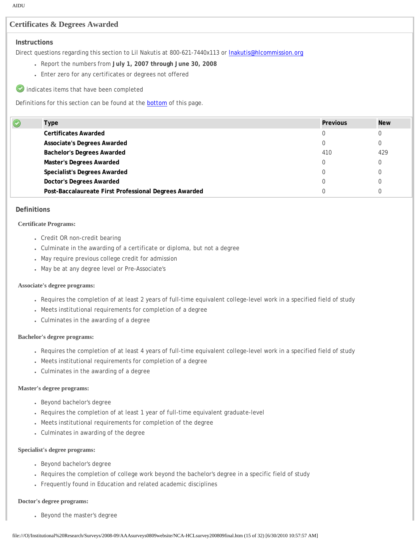# **Certificates & Degrees Awarded**

# **Instructions**

Direct questions regarding this section to Lil Nakutis at 800-621-7440x113 or **Inakutis@hlcommission.org** 

- Report the numbers from **July 1, 2007 through June 30, 2008**
- Enter zero for any certificates or degrees not offered
- indicates items that have been completed

Definitions for this section can be found at the **bottom** of this page.

| Type                                                  | <b>Previous</b> | <b>New</b> |
|-------------------------------------------------------|-----------------|------------|
| <b>Certificates Awarded</b>                           |                 |            |
| <b>Associate's Degrees Awarded</b>                    |                 |            |
| <b>Bachelor's Degrees Awarded</b>                     | 410             | 429        |
| <b>Master's Degrees Awarded</b>                       |                 |            |
| <b>Specialist's Degrees Awarded</b>                   |                 |            |
| <b>Doctor's Degrees Awarded</b>                       |                 |            |
| Post-Baccalaureate First Professional Degrees Awarded |                 |            |
|                                                       |                 |            |

#### **Definitions**

#### **Certificate Programs:**

- Credit OR non-credit bearing
- Culminate in the awarding of a certificate or diploma, but not a degree
- May require previous college credit for admission
- May be at any degree level or Pre-Associate's

#### **Associate's degree programs:**

- Requires the completion of at least 2 years of full-time equivalent college-level work in a specified field of study
- Meets institutional requirements for completion of a degree
- Culminates in the awarding of a degree

#### **Bachelor's degree programs:**

- Requires the completion of at least 4 years of full-time equivalent college-level work in a specified field of study
- Meets institutional requirements for completion of a degree
- Culminates in the awarding of a degree

#### **Master's degree programs:**

- Beyond bachelor's degree
- Requires the completion of at least 1 year of full-time equivalent graduate-level
- Meets institutional requirements for completion of the degree
- Culminates in awarding of the degree

#### **Specialist's degree programs:**

- Beyond bachelor's degree
- Requires the completion of college work beyond the bachelor's degree in a specific field of study
- Frequently found in Education and related academic disciplines

#### **Doctor's degree programs:**

• Beyond the master's degree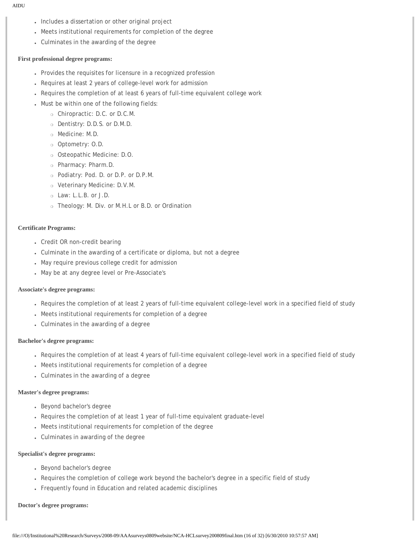- Includes a dissertation or other original project
- Meets institutional requirements for completion of the degree
- Culminates in the awarding of the degree

#### **First professional degree programs:**

- Provides the requisites for licensure in a recognized profession
- Requires at least 2 years of college-level work for admission
- Requires the completion of at least 6 years of full-time equivalent college work
- Must be within one of the following fields:
	- ❍ Chiropractic: D.C. or D.C.M.
	- ❍ Dentistry: D.D.S. or D.M.D.
	- ❍ Medicine: M.D.
	- ❍ Optometry: O.D.
	- ❍ Osteopathic Medicine: D.O.
	- ❍ Pharmacy: Pharm.D.
	- ❍ Podiatry: Pod. D. or D.P. or D.P.M.
	- ❍ Veterinary Medicine: D.V.M.
	- ❍ Law: L.L.B. or J.D.
	- ❍ Theology: M. Div. or M.H.L or B.D. or Ordination

#### **Certificate Programs:**

- Credit OR non-credit bearing
- Culminate in the awarding of a certificate or diploma, but not a degree
- May require previous college credit for admission
- May be at any degree level or Pre-Associate's

## **Associate's degree programs:**

- Requires the completion of at least 2 years of full-time equivalent college-level work in a specified field of study
- Meets institutional requirements for completion of a degree
- Culminates in the awarding of a degree

#### **Bachelor's degree programs:**

- Requires the completion of at least 4 years of full-time equivalent college-level work in a specified field of study
- Meets institutional requirements for completion of a degree
- Culminates in the awarding of a degree

#### **Master's degree programs:**

- Beyond bachelor's degree
- Requires the completion of at least 1 year of full-time equivalent graduate-level
- Meets institutional requirements for completion of the degree
- Culminates in awarding of the degree

#### **Specialist's degree programs:**

- Beyond bachelor's degree
- Requires the completion of college work beyond the bachelor's degree in a specific field of study
- Frequently found in Education and related academic disciplines

#### **Doctor's degree programs:**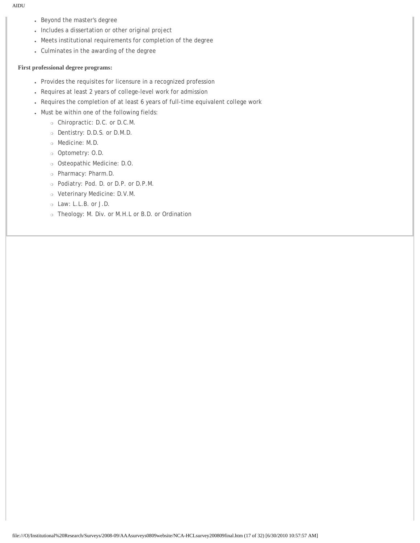- Beyond the master's degree
- Includes a dissertation or other original project
- Meets institutional requirements for completion of the degree
- Culminates in the awarding of the degree

## **First professional degree programs:**

- Provides the requisites for licensure in a recognized profession
- Requires at least 2 years of college-level work for admission
- Requires the completion of at least 6 years of full-time equivalent college work
- Must be within one of the following fields:
	- ❍ Chiropractic: D.C. or D.C.M.
	- ❍ Dentistry: D.D.S. or D.M.D.
	- ❍ Medicine: M.D.
	- ❍ Optometry: O.D.
	- ❍ Osteopathic Medicine: D.O.
	- ❍ Pharmacy: Pharm.D.
	- ❍ Podiatry: Pod. D. or D.P. or D.P.M.
	- ❍ Veterinary Medicine: D.V.M.
	- ❍ Law: L.L.B. or J.D.
	- ❍ Theology: M. Div. or M.H.L or B.D. or Ordination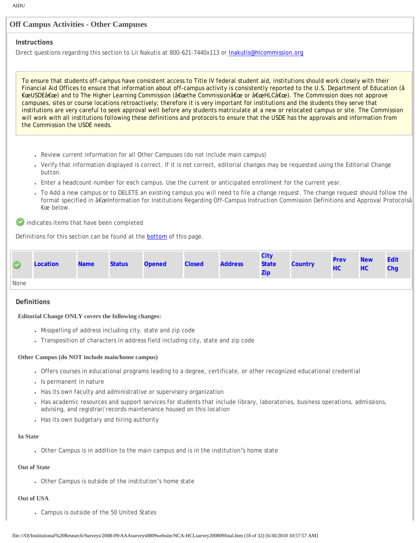## **Off Campus Activities - Other Campuses**

#### **Instructions**

Direct questions regarding this section to Lil Nakutis at 800-621-7440x113 or **Inakutis@hlcommission.org** 

To ensure that students off-campus have consistent access to Title IV federal student aid, institutions should work closely with their Financial Aid Offices to ensure that information about off-campus activity is consistently reported to the U.S. Department of Education (â €œUSDEâ€œ) and to The Higher Learning Commission (â€œthe Commissionâ€œ or â€œHLCâ€œ). The Commission does not approve campuses, sites or course locations retroactively; therefore it is very important for institutions and the students they serve that institutions are very careful to seek approval well before any students matriculate at a new or relocated campus or site. The Commission will work with all institutions following these definitions and protocols to ensure that the USDE has the approvals and information from the Commission the USDE needs.

- Review current information for all Other Campuses (do not include main campus)
- Verify that information displayed is correct. If it is not correct, editorial changes may be requested using the Editorial Change button.
- Enter a headcount number for each campus. Use the current or anticipated enrollment for the current year.
- To Add a new campus or to DELETE an existing campus you will need to file a change request. The change request should follow the format specified in â€œInformation for Institutions Regarding Off-Campus Instruction Commission Definitions and Approval Protocolsâ €œ below.

indicates items that have been completed

Definitions for this section can be found at the **bottom** of this page.

| $\bullet$ | Location | Name Status | <b>Opened</b> | <b>Closed</b> | <b>Address</b> | City<br>State 7<br>Zip | <b>Country</b> | <b>Prev</b><br>HC | <b>New</b><br>HC. | Edit<br>Chq |
|-----------|----------|-------------|---------------|---------------|----------------|------------------------|----------------|-------------------|-------------------|-------------|
| None      |          |             |               |               |                |                        |                |                   |                   |             |

#### **Definitions**

**Editorial Change ONLY covers the following changes:**

- Misspelling of address including city, state and zip code
- Transposition of characters in address field including city, state and zip code

#### **Other Campus (do NOT include main/home campus)**

- Offers courses in educational programs leading to a degree, certificate, or other recognized educational credential
- Is permanent in nature
- Has its own faculty and administrative or supervisory organization
- Has academic resources and support services for students that include library, laboratories, business operations, admissions, advising, and registrar/records maintenance housed on this location
- Has its own budgetary and hiring authority

#### **In State**

• Other Campus is in addition to the main campus and is in the institution's home state

## **Out of State**

• Other Campus is outside of the institution's home state

## **Out of USA**

• Campus is outside of the 50 United States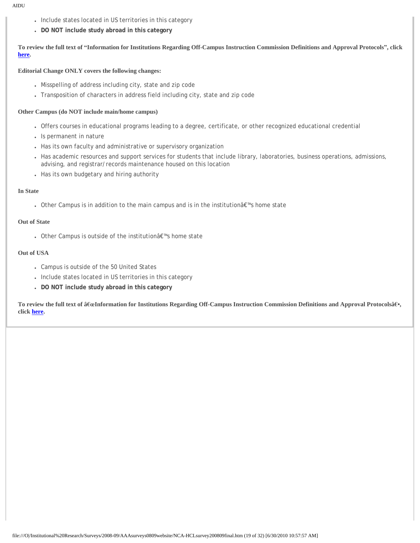- Include states located in US territories in this category
- **DO NOT include study abroad in this category**

**To review the full text of "Information for Institutions Regarding Off-Campus Instruction Commission Definitions and Approval Protocols", click [here](http://www.ncahlc.org/download/ApprovalOfOffCampusInstruction.pdf).**

#### **Editorial Change ONLY covers the following changes:**

- Misspelling of address including city, state and zip code
- Transposition of characters in address field including city, state and zip code

#### **Other Campus (do NOT include main/home campus)**

- Offers courses in educational programs leading to a degree, certificate, or other recognized educational credential
- Is permanent in nature
- Has its own faculty and administrative or supervisory organization
- Has academic resources and support services for students that include library, laboratories, business operations, admissions, advising, and registrar/records maintenance housed on this location
- Has its own budgetary and hiring authority

#### **In State**

• Other Campus is in addition to the main campus and is in the institution's home state

#### **Out of State**

• Other Campus is outside of the institutionâ€<sup>™</sup>s home state

#### **Out of USA**

- Campus is outside of the 50 United States
- Include states located in US territories in this category
- **DO NOT include study abroad in this category**

**To review the full text of â€œInformation for Institutions Regarding Off-Campus Instruction Commission Definitions and Approval Protocolsâۥ, click [here](http://www.ncahlc.org/download/ApprovalOfOffCampusInstruction.pdf).**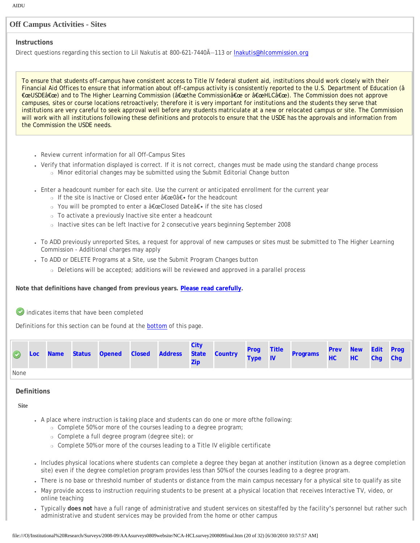## **Off Campus Activities - Sites**

#### **Instructions**

Direct questions regarding this section to Lil Nakutis at 800-621-7440Ã-113 or Inakutis@hlcommission.org

To ensure that students off-campus have consistent access to Title IV federal student aid, institutions should work closely with their Financial Aid Offices to ensure that information about off-campus activity is consistently reported to the U.S. Department of Education (â €œUSDEâ€œ) and to The Higher Learning Commission (â€œthe Commissionâ€œ or â€œHLCâ€œ). The Commission does not approve campuses, sites or course locations retroactively; therefore it is very important for institutions and the students they serve that institutions are very careful to seek approval well before any students matriculate at a new or relocated campus or site. The Commission will work with all institutions following these definitions and protocols to ensure that the USDE has the approvals and information from the Commission the USDE needs.

- Review current information for all Off-Campus Sites
- Verify that information displayed is correct. If it is not correct, changes must be made using the standard change process ❍ Minor editorial changes may be submitted using the Submit Editorial Change button
- Enter a headcount number for each site. Use the current or anticipated enrollment for the current year
	- o If the site is Inactive or Closed enter "0― for the headcount
	- ⊙ You will be prompted to enter a "Closed Date― if the site has closed
	- ❍ To activate a previously Inactive site enter a headcount
	- ❍ Inactive sites can be left Inactive for 2 consecutive years beginning September 2008
- To ADD previously unreported Sites, a request for approval of new campuses or sites must be submitted to The Higher Learning Commission - Additional charges may apply
- To ADD or DELETE Programs at a Site, use the Submit Program Changes button
	- ❍ Deletions will be accepted; additions will be reviewed and approved in a parallel process

#### **Note that definitions have changed from previous years. [Please read carefully.](javascript:scroll_flash())**

indicates items that have been completed

Definitions for this section can be found at the [bottom](javascript:scroll_flash()) of this page.

|             |  |  |  | City |  | Loc Name Status Opened Closed Address State Country Prog Title Programs | <b>Prev New Edit Prog</b><br>HC HC Chg Chg |  |  |
|-------------|--|--|--|------|--|-------------------------------------------------------------------------|--------------------------------------------|--|--|
| <b>None</b> |  |  |  |      |  |                                                                         |                                            |  |  |

## **Definitions**

**Site**

- A place where instruction is taking place and students can do one or more ofthe following:
	- ❍ Complete 50% or more of the courses leading to a degree program;
	- ❍ Complete a full degree program (degree site); or
	- ❍ Complete 50% or more of the courses leading to a Title IV eligible certificate
- Includes physical locations where students can complete a degree they began at another institution (known as a degree completion site) even if the degree completion program provides less than 50% of the courses leading to a degree program.
- There is no base or threshold number of students or distance from the main campus necessary for a physical site to qualify as site
- May provide access to instruction requiring students to be present at a physical location that receives Interactive TV, video, or online teaching
- Typically **does not** have a full range of administrative and student services on sitestaffed by the facility's personnel but rather such administrative and student services may be provided from the home or other campus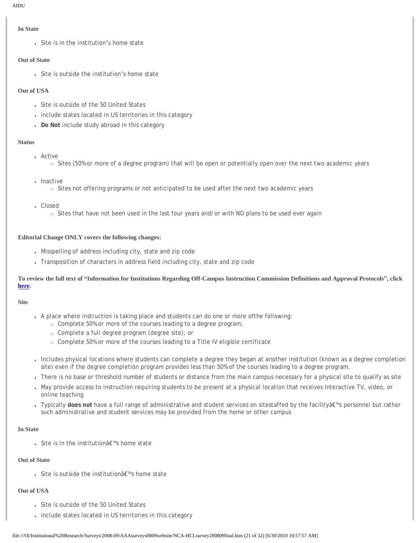#### **In State**

• Site is in the institution's home state

#### **Out of State**

• Site is outside the institution's home state

## **Out of USA**

- Site is outside of the 50 United States
- include states located in US territories in this category
- **Do Not** include study abroad in this category

#### **Status**

- . Active
	- $\circ$  Sites (50% or more of a degree program) that will be open or potentially open over the next two academic years
- Inactive
	- ❍ Sites not offering programs or not anticipated to be used after the next two academic years
- Closed
	- ❍ Sites that have not been used in the last four years and/or with NO plans to be used ever again

## **Editorial Change ONLY covers the following changes:**

- Misspelling of address including city, state and zip code
- Transposition of characters in address field including city, state and zip code

## **To review the full text of "Information for Institutions Regarding Off-Campus Instruction Commission Definitions and Approval Protocols", click [here](http://www.ncahlc.org/download/ApprovalOfOffCampusInstruction.pdf).**

#### **Site**

- A place where instruction is taking place and students can do one or more ofthe following:
	- ❍ Complete 50% or more of the courses leading to a degree program;
		- ❍ Complete a full degree program (degree site); or
	- ❍ Complete 50% or more of the courses leading to a Title IV eligible certificate
- Includes physical locations where students can complete a degree they began at another institution (known as a degree completion site) even if the degree completion program provides less than 50% of the courses leading to a degree program.
- There is no base or threshold number of students or distance from the main campus necessary for a physical site to qualify as site
- May provide access to instruction requiring students to be present at a physical location that receives Interactive TV, video, or online teaching
- Typically **does not** have a full range of administrative and student services on sitestaffed by the facilityâ€™s personnel but rather such administrative and student services may be provided from the home or other campus

#### **In State**

• Site is in the institution's home state

## **Out of State**

• Site is outside the institutionâ€<sup>™</sup>s home state

#### **Out of USA**

- Site is outside of the 50 United States
- include states located in US territories in this category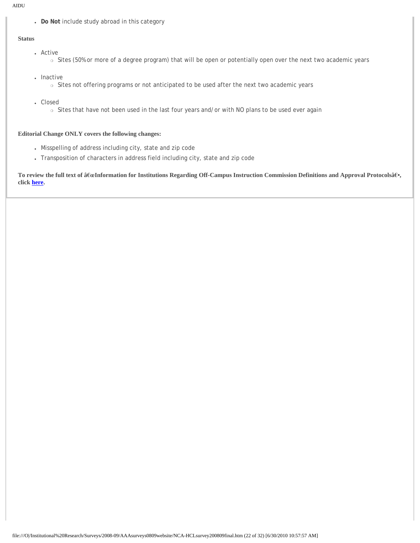● **Do Not** include study abroad in this category

#### **Status**

- Active
	- o Sites (50% or more of a degree program) that will be open or potentially open over the next two academic years
- Inactive ❍ Sites not offering programs or not anticipated to be used after the next two academic years
- Closed
	- ❍ Sites that have not been used in the last four years and/or with NO plans to be used ever again

## **Editorial Change ONLY covers the following changes:**

- Misspelling of address including city, state and zip code
- Transposition of characters in address field including city, state and zip code

**To review the full text of â€œInformation for Institutions Regarding Off-Campus Instruction Commission Definitions and Approval Protocolsâۥ, click [here](http://www.ncahlc.org/download/ApprovalOfOffCampusInstruction.pdf).**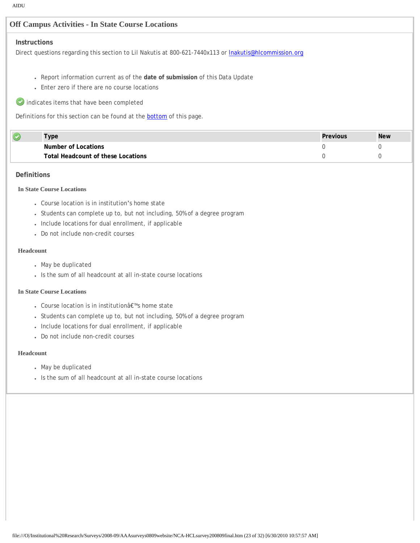# **Off Campus Activities - In State Course Locations**

## **Instructions**

Direct questions regarding this section to Lil Nakutis at 800-621-7440x113 or **Inakutis@hlcommission.org** 

- Report information current as of the **date of submission** of this Data Update
- Enter zero if there are no course locations
- $\bullet$  indicates items that have been completed

Definitions for this section can be found at the **bottom** of this page.

| vpe                                | Previous | <b>New</b> |
|------------------------------------|----------|------------|
| Number of Locations                |          |            |
| Total Headcount of these Locations |          |            |

## **Definitions**

## **In State Course Locations**

- Course location is in institution's home state
- Students can complete up to, but not including, 50% of a degree program
- Include locations for dual enrollment, if applicable
- Do not include non-credit courses

#### **Headcount**

- May be duplicated
- Is the sum of all headcount at all in-state course locations

## **In State Course Locations**

- Course location is in institution's home state
- Students can complete up to, but not including, 50% of a degree program
- Include locations for dual enrollment, if applicable
- Do not include non-credit courses

#### **Headcount**

- May be duplicated
- Is the sum of all headcount at all in-state course locations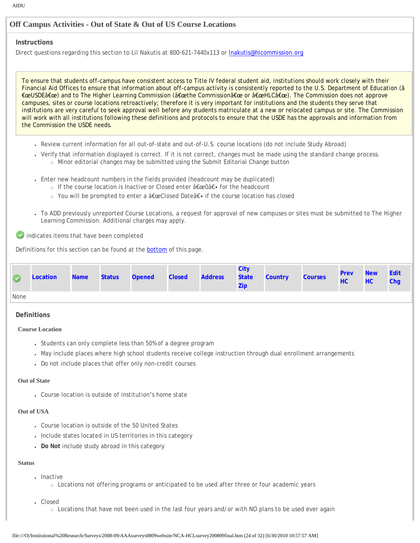# **Off Campus Activities - Out of State & Out of US Course Locations**

#### **Instructions**

Direct questions regarding this section to Lil Nakutis at 800-621-7440x113 or **Inakutis@hlcommission.org** 

To ensure that students off-campus have consistent access to Title IV federal student aid, institutions should work closely with their Financial Aid Offices to ensure that information about off-campus activity is consistently reported to the U.S. Department of Education (â €œUSDEâ€œ) and to The Higher Learning Commission (â€œthe Commissionâ€œ or â€œHLCâ€œ). The Commission does not approve campuses, sites or course locations retroactively; therefore it is very important for institutions and the students they serve that institutions are very careful to seek approval well before any students matriculate at a new or relocated campus or site. The Commission will work with all institutions following these definitions and protocols to ensure that the USDE has the approvals and information from the Commission the USDE needs.

- Review current information for all out-of-state and out-of-U.S. course locations (do not include Study Abroad)
- Verify that information displayed is correct. If it is not correct, changes must be made using the standard change process. ❍ Minor editorial changes may be submitted using the Submit Editorial Change button
- Enter new headcount numbers in the fields provided (headcount may be duplicated)
	- o If the course location is Inactive or Closed enter "0― for the headcount
		- $\circ$  You will be prompted to enter a "Closed Date― if the course location has closed
- To ADD previously unreported Course Locations, a request for approval of new campuses or sites must be submitted to The Higher Learning Commission. Additional charges may apply.

indicates items that have been completed

Definitions for this section can be found at the [bottom](javascript:scroll_flash()) of this page.

| $\circledcirc$ | Location | <b>Name</b> | <b>Status</b> | <b>Opened</b> | <b>Closed Address State Country</b> | City<br>Zip | <b>Courses</b> | <b>Prev</b><br>HC | <b>New</b><br>HC | Edit<br><b>Chg</b> |
|----------------|----------|-------------|---------------|---------------|-------------------------------------|-------------|----------------|-------------------|------------------|--------------------|
| None           |          |             |               |               |                                     |             |                |                   |                  |                    |

#### **Definitions**

#### **Course Location**

- Students can only complete less than 50% of a degree program
- May include places where high school students receive college instruction through dual enrollment arrangements
- Do not include places that offer only non-credit courses

#### **Out of State**

• Course location is outside of institution's home state

#### **Out of USA**

- Course location is outside of the 50 United States
- Include states located in US territories in this category
- **Do Not** include study abroad in this category

#### **Status**

- Inactive
	- ❍ Locations not offering programs or anticipated to be used after three or four academic years
- Closed
	- ❍ Locations that have not been used in the last four years and/or with NO plans to be used ever again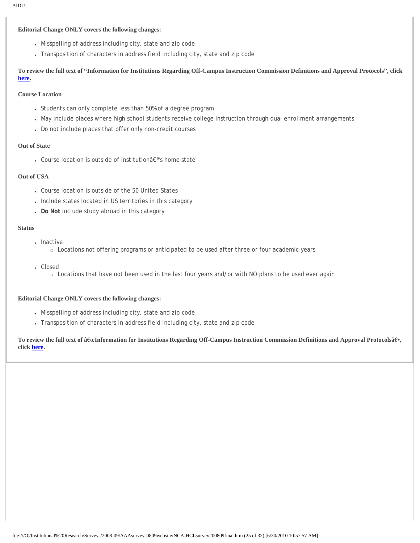#### **Editorial Change ONLY covers the following changes:**

- Misspelling of address including city, state and zip code
- Transposition of characters in address field including city, state and zip code

**To review the full text of "Information for Institutions Regarding Off-Campus Instruction Commission Definitions and Approval Protocols", click [here](http://www.ncahlc.org/download/ApprovalOfOffCampusInstruction.pdf).**

## **Course Location**

- Students can only complete less than 50% of a degree program
- May include places where high school students receive college instruction through dual enrollment arrangements
- Do not include places that offer only non-credit courses

#### **Out of State**

• Course location is outside of institution's home state

#### **Out of USA**

- Course location is outside of the 50 United States
- Include states located in US territories in this category
- **Do Not** include study abroad in this category

#### **Status**

- Inactive
	- ❍ Locations not offering programs or anticipated to be used after three or four academic years
- Closed
	- ❍ Locations that have not been used in the last four years and/or with NO plans to be used ever again

#### **Editorial Change ONLY covers the following changes:**

- Misspelling of address including city, state and zip code
- Transposition of characters in address field including city, state and zip code

**To review the full text of â€œInformation for Institutions Regarding Off-Campus Instruction Commission Definitions and Approval Protocolsâۥ, click [here](http://www.ncahlc.org/download/ApprovalOfOffCampusInstruction.pdf).**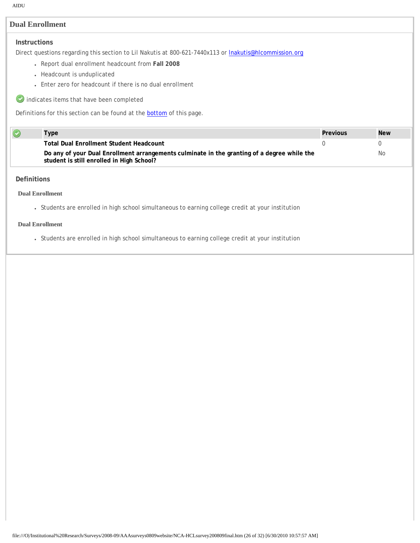# **Dual Enrollment**

## **Instructions**

Direct questions regarding this section to Lil Nakutis at 800-621-7440x113 or **Inakutis@hlcommission.org** 

- Report dual enrollment headcount from **Fall 2008**
- Headcount is unduplicated
- Enter zero for headcount if there is no dual enrollment
- indicates items that have been completed

Definitions for this section can be found at the [bottom](javascript:scroll_flash()) of this page.

| Type                                                                                                                                     | Previous | <b>New</b> |
|------------------------------------------------------------------------------------------------------------------------------------------|----------|------------|
| <b>Total Dual Enrollment Student Headcount</b>                                                                                           |          |            |
| Do any of your Dual Enrollment arrangements culminate in the granting of a degree while the<br>student is still enrolled in High School? |          | No.        |

#### **Definitions**

 $\overline{\mathbf{C}}$ 

#### **Dual Enrollment**

● Students are enrolled in high school simultaneous to earning college credit at your institution

## **Dual Enrollment**

● Students are enrolled in high school simultaneous to earning college credit at your institution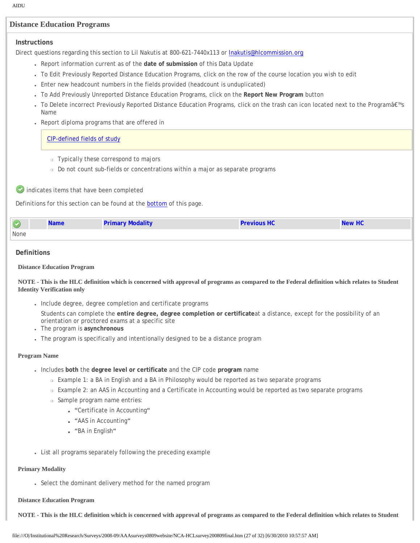# **Distance Education Programs**

#### **Instructions**

Direct questions regarding this section to Lil Nakutis at 800-621-7440x113 or **Inakutis@hlcommission.org** 

- Report information current as of the **date of submission** of this Data Update
- To Edit Previously Reported Distance Education Programs, click on the row of the course location you wish to edit
- Enter new headcount numbers in the fields provided (headcount is unduplicated)
- To Add Previously Unreported Distance Education Programs, click on the **Report New Program** button
- To Delete incorrect Previously Reported Distance Education Programs, click on the trash can icon located next to the Program's Name
- Report diploma programs that are offered in

#### [CIP-defined fields of study](http://nces.ed.gov/pubs2002/cip2000/)

- ❍ Typically these correspond to majors
- o Do not count sub-fields or concentrations within a major as separate programs

indicates items that have been completed

Definitions for this section can be found at the [bottom](javascript:scroll_flash()) of this page.

|      | <b>Name</b> | <b>Primary Modality</b> | <b>Previous HC</b> | <b>New HC</b> |
|------|-------------|-------------------------|--------------------|---------------|
| None |             |                         |                    |               |

#### **Definitions**

#### **Distance Education Program**

#### **NOTE - This is the HLC definition which is concerned with approval of programs as compared to the Federal definition which relates to Student Identity Verification only**

• Include degree, degree completion and certificate programs

Students can complete the **entire degree, degree completion or certificate**at a distance, except for the possibility of an orientation or proctored exams at a specific site

- The program is **asynchronous**
- The program is specifically and intentionally designed to be a distance program

#### **Program Name**

- Includes **both** the **degree level or certificate** and the CIP code **program** name
	- ❍ Example 1: a BA in English and a BA in Philosophy would be reported as two separate programs
	- ❍ Example 2: an AAS in Accounting and a Certificate in Accounting would be reported as two separate programs
	- ❍ Sample program name entries:
		- "Certificate in Accounting"
		- "AAS in Accounting"
		- "BA in English"
- List all programs separately following the preceding example

#### **Primary Modality**

• Select the dominant delivery method for the named program

#### **Distance Education Program**

**NOTE - This is the HLC definition which is concerned with approval of programs as compared to the Federal definition which relates to Student**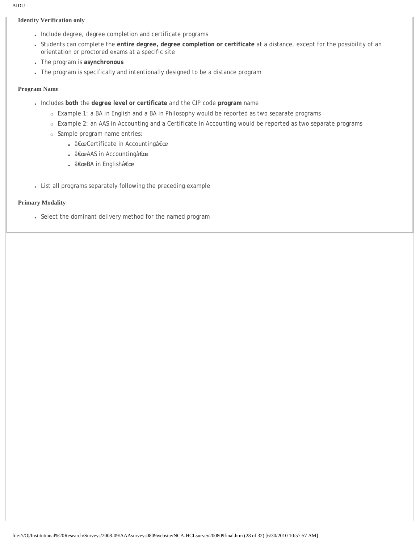## **Identity Verification only**

- Include degree, degree completion and certificate programs
- Students can complete the **entire degree, degree completion or certificate** at a distance, except for the possibility of an orientation or proctored exams at a specific site
- The program is **asynchronous**
- The program is specifically and intentionally designed to be a distance program

#### **Program Name**

- Includes **both** the **degree level or certificate** and the CIP code **program** name
	- ❍ Example 1: a BA in English and a BA in Philosophy would be reported as two separate programs
	- ❍ Example 2: an AAS in Accounting and a Certificate in Accounting would be reported as two separate programs
	- ❍ Sample program name entries:
		- "Certificate in Accounting"
		- â€œAAS in Accountingâ€œ
		- â€œBA in Englishâ€œ
- List all programs separately following the preceding example

## **Primary Modality**

• Select the dominant delivery method for the named program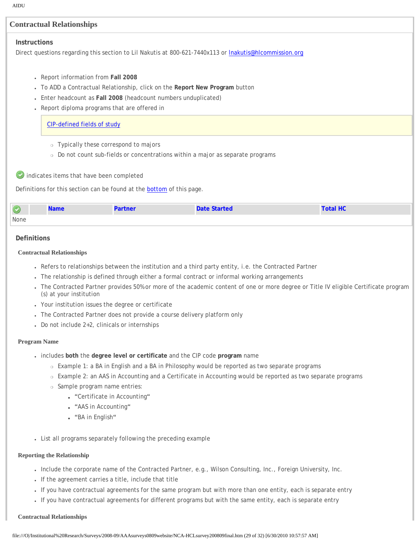| <b>AIDU</b>        |                                                                                                                                                               |                                                                                                              |                                                                                                              |                 |  |  |  |  |
|--------------------|---------------------------------------------------------------------------------------------------------------------------------------------------------------|--------------------------------------------------------------------------------------------------------------|--------------------------------------------------------------------------------------------------------------|-----------------|--|--|--|--|
|                    | <b>Contractual Relationships</b>                                                                                                                              |                                                                                                              |                                                                                                              |                 |  |  |  |  |
| Instructions       |                                                                                                                                                               |                                                                                                              |                                                                                                              |                 |  |  |  |  |
|                    |                                                                                                                                                               |                                                                                                              | Direct questions regarding this section to Lil Nakutis at 800-621-7440x113 or Inakutis@hlcommission.org      |                 |  |  |  |  |
|                    |                                                                                                                                                               |                                                                                                              |                                                                                                              |                 |  |  |  |  |
|                    | Report information from Fall 2008                                                                                                                             |                                                                                                              |                                                                                                              |                 |  |  |  |  |
|                    | To ADD a Contractual Relationship, click on the Report New Program button                                                                                     |                                                                                                              |                                                                                                              |                 |  |  |  |  |
|                    |                                                                                                                                                               | Enter headcount as Fall 2008 (headcount numbers unduplicated)<br>Report diploma programs that are offered in |                                                                                                              |                 |  |  |  |  |
|                    |                                                                                                                                                               |                                                                                                              |                                                                                                              |                 |  |  |  |  |
|                    | <b>CIP-defined fields of study</b>                                                                                                                            |                                                                                                              |                                                                                                              |                 |  |  |  |  |
|                    |                                                                                                                                                               | o Typically these correspond to majors                                                                       |                                                                                                              |                 |  |  |  |  |
|                    |                                                                                                                                                               |                                                                                                              | o Do not count sub-fields or concentrations within a major as separate programs                              |                 |  |  |  |  |
|                    |                                                                                                                                                               |                                                                                                              |                                                                                                              |                 |  |  |  |  |
|                    | indicates items that have been completed                                                                                                                      |                                                                                                              |                                                                                                              |                 |  |  |  |  |
|                    |                                                                                                                                                               | Definitions for this section can be found at the <b>bottom</b> of this page.                                 |                                                                                                              |                 |  |  |  |  |
|                    | <b>Name</b>                                                                                                                                                   | <b>Partner</b>                                                                                               | <b>Date Started</b>                                                                                          | <b>Total HC</b> |  |  |  |  |
| <b>None</b>        |                                                                                                                                                               |                                                                                                              |                                                                                                              |                 |  |  |  |  |
| <b>Definitions</b> |                                                                                                                                                               |                                                                                                              |                                                                                                              |                 |  |  |  |  |
|                    | <b>Contractual Relationships</b>                                                                                                                              |                                                                                                              |                                                                                                              |                 |  |  |  |  |
|                    |                                                                                                                                                               |                                                                                                              | Refers to relationships between the institution and a third party entity, i.e. the Contracted Partner        |                 |  |  |  |  |
|                    |                                                                                                                                                               |                                                                                                              | The relationship is defined through either a formal contract or informal working arrangements                |                 |  |  |  |  |
|                    | The Contracted Partner provides 50% or more of the academic content of one or more degree or Title IV eligible Certificate program<br>(s) at your institution |                                                                                                              |                                                                                                              |                 |  |  |  |  |
|                    |                                                                                                                                                               | • Your institution issues the degree or certificate                                                          |                                                                                                              |                 |  |  |  |  |
|                    |                                                                                                                                                               |                                                                                                              | The Contracted Partner does not provide a course delivery platform only                                      |                 |  |  |  |  |
|                    |                                                                                                                                                               | Do not include 2+2, clinicals or internships                                                                 |                                                                                                              |                 |  |  |  |  |
|                    | <b>Program Name</b>                                                                                                                                           |                                                                                                              |                                                                                                              |                 |  |  |  |  |
|                    |                                                                                                                                                               |                                                                                                              | . includes both the degree level or certificate and the CIP code program name                                |                 |  |  |  |  |
|                    |                                                                                                                                                               |                                                                                                              | ○ Example 1: a BA in English and a BA in Philosophy would be reported as two separate programs               |                 |  |  |  |  |
|                    |                                                                                                                                                               |                                                                                                              | ○ Example 2: an AAS in Accounting and a Certificate in Accounting would be reported as two separate programs |                 |  |  |  |  |
|                    |                                                                                                                                                               | o Sample program name entries:                                                                               |                                                                                                              |                 |  |  |  |  |
|                    |                                                                                                                                                               | . "Certificate in Accounting"                                                                                |                                                                                                              |                 |  |  |  |  |
|                    |                                                                                                                                                               | . "AAS in Accounting"                                                                                        |                                                                                                              |                 |  |  |  |  |
|                    | . "BA in English"                                                                                                                                             |                                                                                                              |                                                                                                              |                 |  |  |  |  |
|                    |                                                                                                                                                               | • List all programs separately following the preceding example                                               |                                                                                                              |                 |  |  |  |  |

# **Reporting the Relationship**

- Include the corporate name of the Contracted Partner, e.g., Wilson Consulting, Inc., Foreign University, Inc.
- If the agreement carries a title, include that title
- If you have contractual agreements for the same program but with more than one entity, each is separate entry
- If you have contractual agreements for different programs but with the same entity, each is separate entry

#### **Contractual Relationships**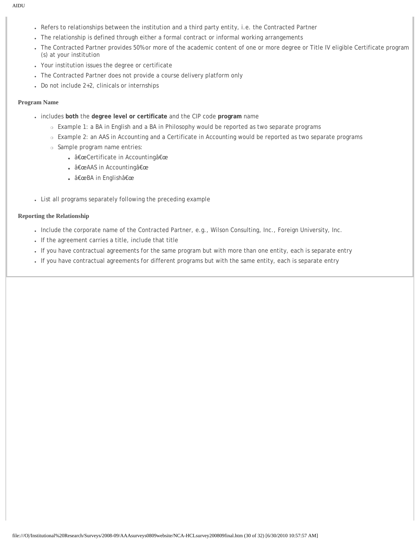- Refers to relationships between the institution and a third party entity, i.e. the Contracted Partner
- The relationship is defined through either a formal contract or informal working arrangements
- The Contracted Partner provides 50% or more of the academic content of one or more degree or Title IV eligible Certificate program (s) at your institution
- Your institution issues the degree or certificate
- The Contracted Partner does not provide a course delivery platform only
- $\cdot$  Do not include 2+2, clinicals or internships

# **Program Name**

- includes **both** the **degree level or certificate** and the CIP code **program** name
	- ❍ Example 1: a BA in English and a BA in Philosophy would be reported as two separate programs
	- ❍ Example 2: an AAS in Accounting and a Certificate in Accounting would be reported as two separate programs
	- ❍ Sample program name entries:
		- "Certificate in Accounting"
		- "AAS in Accounting"
		- â€œBA in Englishâ€œ
- List all programs separately following the preceding example

# **Reporting the Relationship**

- Include the corporate name of the Contracted Partner, e.g., Wilson Consulting, Inc., Foreign University, Inc.
- If the agreement carries a title, include that title
- If you have contractual agreements for the same program but with more than one entity, each is separate entry
- If you have contractual agreements for different programs but with the same entity, each is separate entry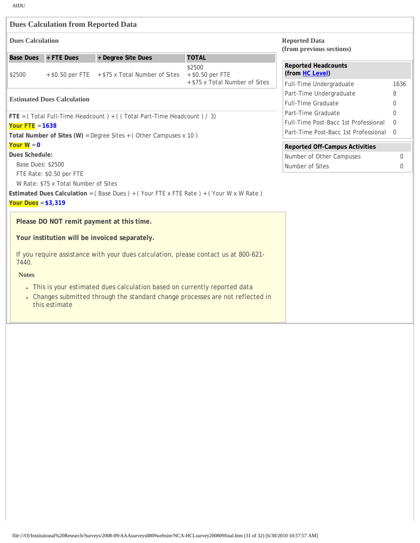|                                                                                              | <b>Dues Calculation from Reported Data</b>                            |                                                                                                                                                            |                                |                                                  |          |  |  |
|----------------------------------------------------------------------------------------------|-----------------------------------------------------------------------|------------------------------------------------------------------------------------------------------------------------------------------------------------|--------------------------------|--------------------------------------------------|----------|--|--|
| <b>Dues Calculation</b>                                                                      |                                                                       |                                                                                                                                                            |                                | <b>Reported Data</b><br>(from previous sections) |          |  |  |
|                                                                                              | Base Dues + FTE Dues                                                  | + Degree Site Dues                                                                                                                                         | <b>TOTAL</b>                   |                                                  |          |  |  |
| \$2500                                                                                       |                                                                       | + \$0.50 per FTE + \$75 x Total Number of Sites                                                                                                            | \$2500<br>+ \$0.50 per FTE     | <b>Reported Headcounts</b><br>(from HC Level)    |          |  |  |
|                                                                                              |                                                                       |                                                                                                                                                            | + \$75 x Total Number of Sites | Full-Time Undergraduate                          | 1636     |  |  |
|                                                                                              |                                                                       |                                                                                                                                                            |                                | Part-Time Undergraduate                          | 8        |  |  |
| <b>Estimated Dues Calculation</b>                                                            |                                                                       |                                                                                                                                                            |                                | <b>Full-Time Graduate</b>                        | 0        |  |  |
|                                                                                              | FTE = (Total Full-Time Headcount) + ((Total Part-Time Headcount) / 3) | Part-Time Graduate                                                                                                                                         | $\Omega$                       |                                                  |          |  |  |
| Your $FTE = 1638$                                                                            |                                                                       |                                                                                                                                                            |                                | Full-Time Post-Bacc 1st Professional             | $\Omega$ |  |  |
|                                                                                              |                                                                       | Total Number of Sites (W) = Degree Sites $+$ (Other Campuses x 10)                                                                                         |                                | Part-Time Post-Bacc 1st Professional 0           |          |  |  |
| Your $W = 0$                                                                                 |                                                                       |                                                                                                                                                            |                                | <b>Reported Off-Campus Activities</b>            |          |  |  |
| Dues Schedule:                                                                               |                                                                       |                                                                                                                                                            |                                | Number of Other Campuses                         | 0        |  |  |
| <b>Base Dues: \$2500</b>                                                                     |                                                                       | Number of Sites                                                                                                                                            | 0                              |                                                  |          |  |  |
|                                                                                              | FTE Rate: \$0.50 per FTE                                              |                                                                                                                                                            |                                |                                                  |          |  |  |
|                                                                                              | W Rate: \$75 x Total Number of Sites                                  |                                                                                                                                                            |                                |                                                  |          |  |  |
|                                                                                              |                                                                       | Estimated Dues Calculation = (Base Dues) + (Your FTE x FTE Rate) + (Your W x W Rate)                                                                       |                                |                                                  |          |  |  |
| Your Dues = $$3,319$                                                                         |                                                                       |                                                                                                                                                            |                                |                                                  |          |  |  |
|                                                                                              |                                                                       | Please DO NOT remit payment at this time.                                                                                                                  |                                |                                                  |          |  |  |
|                                                                                              |                                                                       | Your institution will be invoiced separately.                                                                                                              |                                |                                                  |          |  |  |
| If you require assistance with your dues calculation, please contact us at 800-621-<br>7440. |                                                                       |                                                                                                                                                            |                                |                                                  |          |  |  |
| <b>Notes</b>                                                                                 |                                                                       |                                                                                                                                                            |                                |                                                  |          |  |  |
|                                                                                              | this estimate                                                         | . This is your estimated dues calculation based on currently reported data<br>Changes submitted through the standard change processes are not reflected in |                                |                                                  |          |  |  |